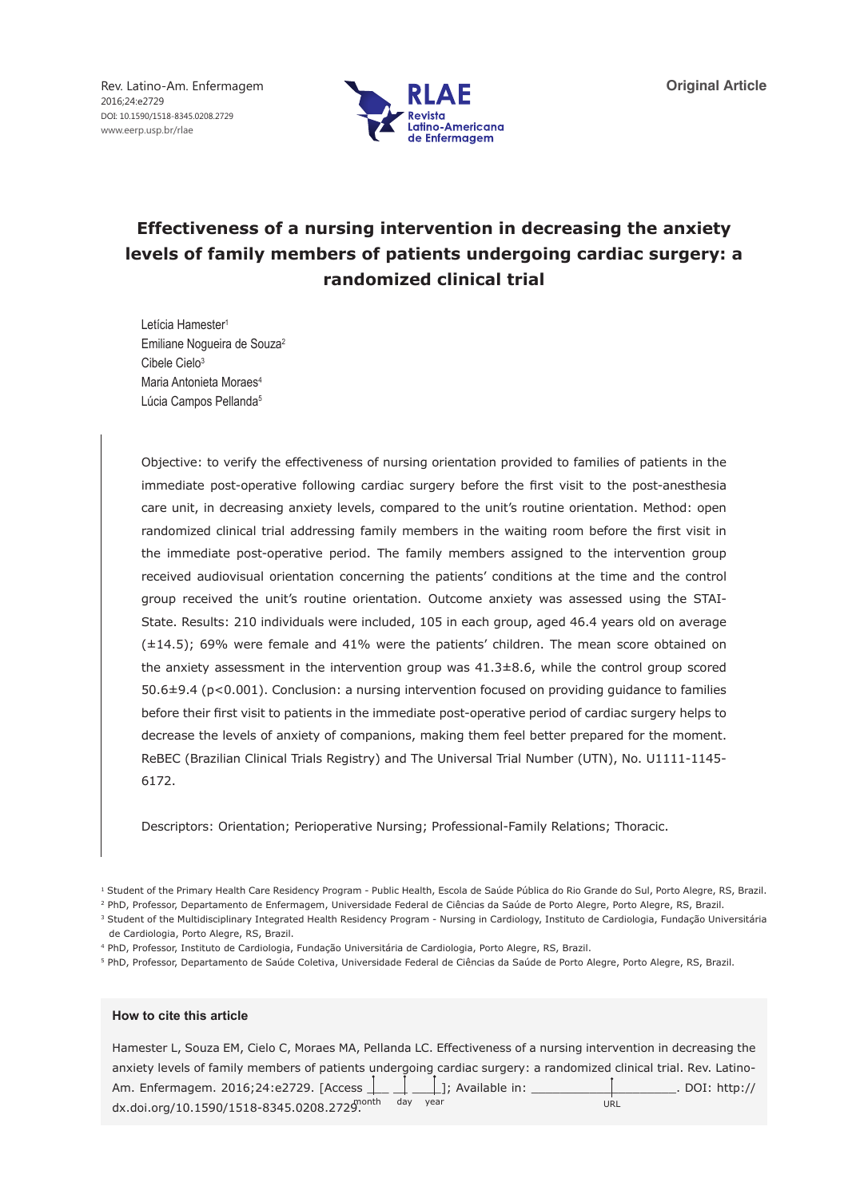Rev. Latino-Am. Enfermagem 2016;24:e2729 DOI: 10.1590/1518-8345.0208.2729 www.eerp.usp.br/rlae



# **Effectiveness of a nursing intervention in decreasing the anxiety levels of family members of patients undergoing cardiac surgery: a randomized clinical trial**

Letícia Hamester1 Emiliane Nogueira de Souza2 Cibele Cielo<sup>3</sup> Maria Antonieta Moraes<sup>4</sup> Lúcia Campos Pellanda<sup>5</sup>

Objective: to verify the effectiveness of nursing orientation provided to families of patients in the immediate post-operative following cardiac surgery before the first visit to the post-anesthesia care unit, in decreasing anxiety levels, compared to the unit's routine orientation. Method: open randomized clinical trial addressing family members in the waiting room before the first visit in the immediate post-operative period. The family members assigned to the intervention group received audiovisual orientation concerning the patients' conditions at the time and the control group received the unit's routine orientation. Outcome anxiety was assessed using the STAI-State. Results: 210 individuals were included, 105 in each group, aged 46.4 years old on average (±14.5); 69% were female and 41% were the patients' children. The mean score obtained on the anxiety assessment in the intervention group was  $41.3\pm8.6$ , while the control group scored 50.6±9.4 (p<0.001). Conclusion: a nursing intervention focused on providing guidance to families before their first visit to patients in the immediate post-operative period of cardiac surgery helps to decrease the levels of anxiety of companions, making them feel better prepared for the moment. ReBEC (Brazilian Clinical Trials Registry) and The Universal Trial Number (UTN), No. U1111-1145- 6172.

Descriptors: Orientation; Perioperative Nursing; Professional-Family Relations; Thoracic.

<sup>4</sup> PhD, Professor, Instituto de Cardiologia, Fundação Universitária de Cardiologia, Porto Alegre, RS, Brazil.

### **How to cite this article**

| Hamester L, Souza EM, Cielo C, Moraes MA, Pellanda LC. Effectiveness of a nursing intervention in decreasing the            |      |                  |
|-----------------------------------------------------------------------------------------------------------------------------|------|------------------|
| anxiety levels of family members of patients undergoing cardiac surgery: a randomized clinical trial. Rev. Latino-          |      |                  |
| Am. Enfermagem. 2016;24:e2729. [Access $\boxed{\phantom{a} \phantom{a}}$ $\boxed{\phantom{a} \phantom{a}}$ ]; Available in: |      | . DOI: $http://$ |
| dx.doi.org/10.1590/1518-8345.0208.2729.                                                                                     | vear | URL              |

<sup>&</sup>lt;sup>1</sup> Student of the Primary Health Care Residency Program - Public Health, Escola de Saúde Pública do Rio Grande do Sul, Porto Alegre, RS, Brazil.

<sup>&</sup>lt;sup>2</sup> PhD, Professor, Departamento de Enfermagem, Universidade Federal de Ciências da Saúde de Porto Alegre, Porto Alegre, RS, Brazil.

<sup>&</sup>lt;sup>3</sup> Student of the Multidisciplinary Integrated Health Residency Program - Nursing in Cardiology, Instituto de Cardiologia, Fundação Universitária de Cardiologia, Porto Alegre, RS, Brazil.

<sup>5</sup> PhD, Professor, Departamento de Saúde Coletiva, Universidade Federal de Ciências da Saúde de Porto Alegre, Porto Alegre, RS, Brazil.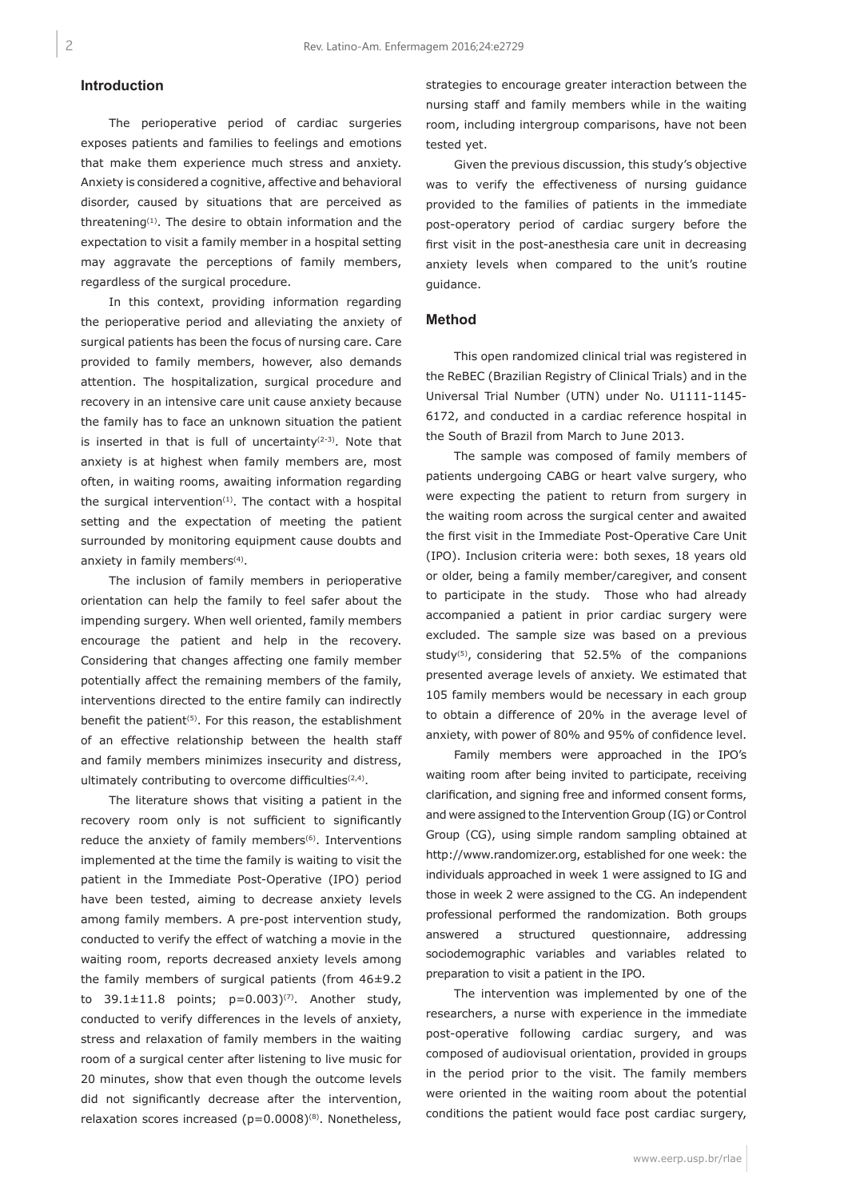## **Introduction**

The perioperative period of cardiac surgeries exposes patients and families to feelings and emotions that make them experience much stress and anxiety. Anxiety is considered a cognitive, affective and behavioral disorder, caused by situations that are perceived as threatening $(1)$ . The desire to obtain information and the expectation to visit a family member in a hospital setting may aggravate the perceptions of family members, regardless of the surgical procedure.

In this context, providing information regarding the perioperative period and alleviating the anxiety of surgical patients has been the focus of nursing care. Care provided to family members, however, also demands attention. The hospitalization, surgical procedure and recovery in an intensive care unit cause anxiety because the family has to face an unknown situation the patient is inserted in that is full of uncertainty $(2-3)$ . Note that anxiety is at highest when family members are, most often, in waiting rooms, awaiting information regarding the surgical intervention $(1)$ . The contact with a hospital setting and the expectation of meeting the patient surrounded by monitoring equipment cause doubts and anxiety in family members<sup>(4)</sup>.

The inclusion of family members in perioperative orientation can help the family to feel safer about the impending surgery. When well oriented, family members encourage the patient and help in the recovery. Considering that changes affecting one family member potentially affect the remaining members of the family, interventions directed to the entire family can indirectly benefit the patient<sup>(5)</sup>. For this reason, the establishment of an effective relationship between the health staff and family members minimizes insecurity and distress, ultimately contributing to overcome difficulties<sup>(2,4)</sup>.

The literature shows that visiting a patient in the recovery room only is not sufficient to significantly reduce the anxiety of family members<sup>(6)</sup>. Interventions implemented at the time the family is waiting to visit the patient in the Immediate Post-Operative (IPO) period have been tested, aiming to decrease anxiety levels among family members. A pre-post intervention study, conducted to verify the effect of watching a movie in the waiting room, reports decreased anxiety levels among the family members of surgical patients (from 46±9.2 to  $39.1 \pm 11.8$  points;  $p=0.003$ )<sup>(7)</sup>. Another study, conducted to verify differences in the levels of anxiety, stress and relaxation of family members in the waiting room of a surgical center after listening to live music for 20 minutes, show that even though the outcome levels did not significantly decrease after the intervention, relaxation scores increased ( $p=0.0008$ )<sup>(8)</sup>. Nonetheless,

strategies to encourage greater interaction between the nursing staff and family members while in the waiting room, including intergroup comparisons, have not been tested yet.

Given the previous discussion, this study's objective was to verify the effectiveness of nursing guidance provided to the families of patients in the immediate post-operatory period of cardiac surgery before the first visit in the post-anesthesia care unit in decreasing anxiety levels when compared to the unit's routine guidance.

## **Method**

This open randomized clinical trial was registered in the ReBEC (Brazilian Registry of Clinical Trials) and in the Universal Trial Number (UTN) under No. U1111-1145- 6172, and conducted in a cardiac reference hospital in the South of Brazil from March to June 2013.

The sample was composed of family members of patients undergoing CABG or heart valve surgery, who were expecting the patient to return from surgery in the waiting room across the surgical center and awaited the first visit in the Immediate Post-Operative Care Unit (IPO). Inclusion criteria were: both sexes, 18 years old or older, being a family member/caregiver, and consent to participate in the study. Those who had already accompanied a patient in prior cardiac surgery were excluded. The sample size was based on a previous study<sup>(5)</sup>, considering that  $52.5%$  of the companions presented average levels of anxiety. We estimated that 105 family members would be necessary in each group to obtain a difference of 20% in the average level of anxiety, with power of 80% and 95% of confidence level.

Family members were approached in the IPO's waiting room after being invited to participate, receiving clarification, and signing free and informed consent forms, and were assigned to the Intervention Group (IG) or Control Group (CG), using simple random sampling obtained at http://www.randomizer.org, established for one week: the individuals approached in week 1 were assigned to IG and those in week 2 were assigned to the CG. An independent professional performed the randomization. Both groups answered a structured questionnaire, addressing sociodemographic variables and variables related to preparation to visit a patient in the IPO.

The intervention was implemented by one of the researchers, a nurse with experience in the immediate post-operative following cardiac surgery, and was composed of audiovisual orientation, provided in groups in the period prior to the visit. The family members were oriented in the waiting room about the potential conditions the patient would face post cardiac surgery,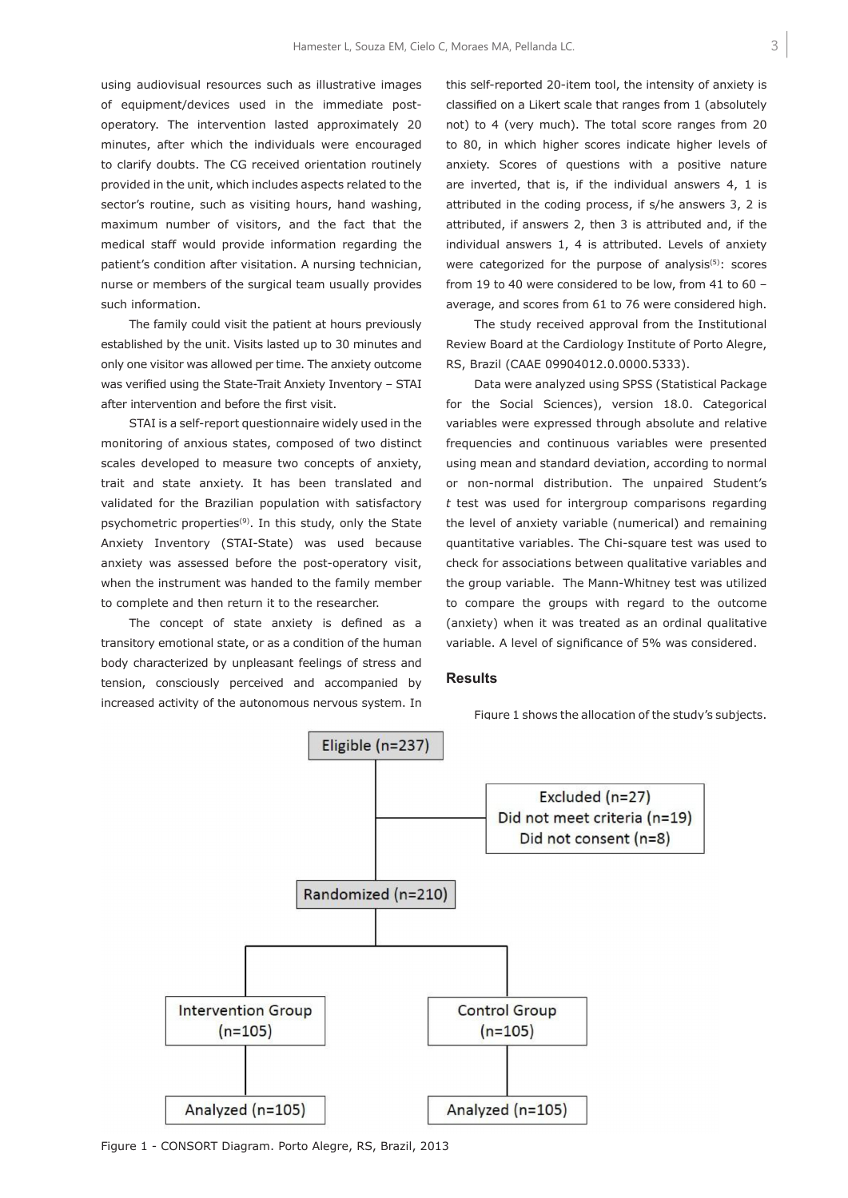using audiovisual resources such as illustrative images of equipment/devices used in the immediate postoperatory. The intervention lasted approximately 20 minutes, after which the individuals were encouraged to clarify doubts. The CG received orientation routinely provided in the unit, which includes aspects related to the sector's routine, such as visiting hours, hand washing, maximum number of visitors, and the fact that the medical staff would provide information regarding the patient's condition after visitation. A nursing technician, nurse or members of the surgical team usually provides such information.

The family could visit the patient at hours previously established by the unit. Visits lasted up to 30 minutes and only one visitor was allowed per time. The anxiety outcome was verified using the State-Trait Anxiety Inventory – STAI after intervention and before the first visit.

STAI is a self-report questionnaire widely used in the monitoring of anxious states, composed of two distinct scales developed to measure two concepts of anxiety, trait and state anxiety. It has been translated and validated for the Brazilian population with satisfactory psychometric properties<sup>(9)</sup>. In this study, only the State Anxiety Inventory (STAI-State) was used because anxiety was assessed before the post-operatory visit, when the instrument was handed to the family member to complete and then return it to the researcher.

The concept of state anxiety is defined as a transitory emotional state, or as a condition of the human body characterized by unpleasant feelings of stress and tension, consciously perceived and accompanied by increased activity of the autonomous nervous system. In this self-reported 20-item tool, the intensity of anxiety is classified on a Likert scale that ranges from 1 (absolutely not) to 4 (very much). The total score ranges from 20 to 80, in which higher scores indicate higher levels of anxiety. Scores of questions with a positive nature are inverted, that is, if the individual answers 4, 1 is attributed in the coding process, if s/he answers 3, 2 is attributed, if answers 2, then 3 is attributed and, if the individual answers 1, 4 is attributed. Levels of anxiety were categorized for the purpose of analysis $(5)$ : scores from 19 to 40 were considered to be low, from 41 to 60 – average, and scores from 61 to 76 were considered high.

The study received approval from the Institutional Review Board at the Cardiology Institute of Porto Alegre, RS, Brazil (CAAE 09904012.0.0000.5333).

Data were analyzed using SPSS (Statistical Package for the Social Sciences), version 18.0. Categorical variables were expressed through absolute and relative frequencies and continuous variables were presented using mean and standard deviation, according to normal or non-normal distribution. The unpaired Student's *t* test was used for intergroup comparisons regarding the level of anxiety variable (numerical) and remaining quantitative variables. The Chi-square test was used to check for associations between qualitative variables and the group variable. The Mann-Whitney test was utilized to compare the groups with regard to the outcome (anxiety) when it was treated as an ordinal qualitative variable. A level of significance of 5% was considered.

## **Results**

Figure 1 shows the allocation of the study's subjects.



Figure 1 - CONSORT Diagram. Porto Alegre, RS, Brazil, 2013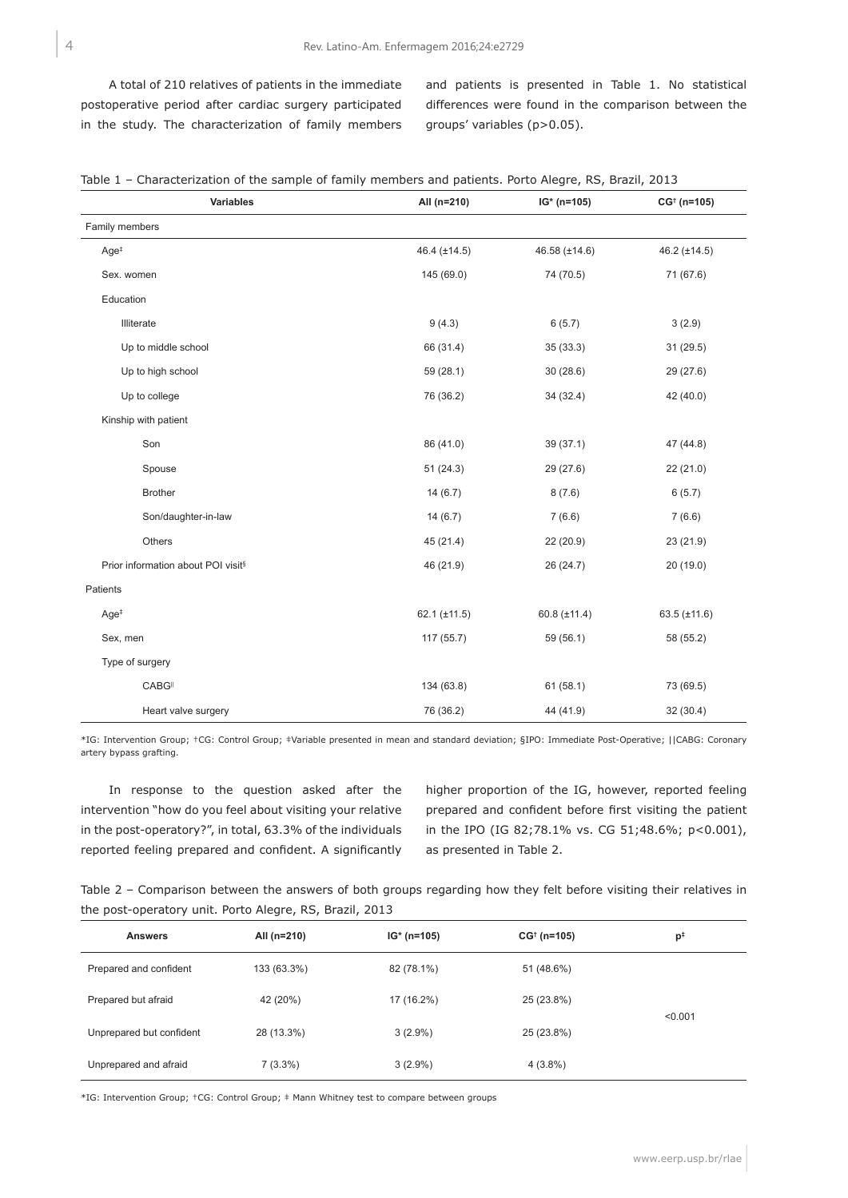A total of 210 relatives of patients in the immediate postoperative period after cardiac surgery participated in the study. The characterization of family members

and patients is presented in Table 1. No statistical differences were found in the comparison between the groups' variables (p>0.05).

|  |  |  |  |  | Table 1 - Characterization of the sample of family members and patients. Porto Alegre, RS, Brazil, 2013 |  |  |  |  |  |
|--|--|--|--|--|---------------------------------------------------------------------------------------------------------|--|--|--|--|--|
|--|--|--|--|--|---------------------------------------------------------------------------------------------------------|--|--|--|--|--|

| Variables                                      | All (n=210)       | $IG* (n=105)$     | $CG† (n=105)$     |
|------------------------------------------------|-------------------|-------------------|-------------------|
| Family members                                 |                   |                   |                   |
| Age <sup>#</sup>                               | 46.4 $(\pm 14.5)$ | 46.58 (±14.6)     | 46.2 $(\pm 14.5)$ |
| Sex. women                                     | 145 (69.0)        | 74 (70.5)         | 71 (67.6)         |
| Education                                      |                   |                   |                   |
| Illiterate                                     | 9(4.3)            | 6(5.7)            | 3(2.9)            |
| Up to middle school                            | 66 (31.4)         | 35 (33.3)         | 31 (29.5)         |
| Up to high school                              | 59 (28.1)         | 30(28.6)          | 29 (27.6)         |
| Up to college                                  | 76 (36.2)         | 34 (32.4)         | 42 (40.0)         |
| Kinship with patient                           |                   |                   |                   |
| Son                                            | 86 (41.0)         | 39 (37.1)         | 47 (44.8)         |
| Spouse                                         | 51(24.3)          | 29 (27.6)         | 22 (21.0)         |
| <b>Brother</b>                                 | 14(6.7)           | 8(7.6)            | 6(5.7)            |
| Son/daughter-in-law                            | 14(6.7)           | 7(6.6)            | 7(6.6)            |
| Others                                         | 45 (21.4)         | 22 (20.9)         | 23 (21.9)         |
| Prior information about POI visit <sup>§</sup> | 46 (21.9)         | 26 (24.7)         | 20 (19.0)         |
| Patients                                       |                   |                   |                   |
| Age <sup>#</sup>                               | 62.1 $(\pm 11.5)$ | 60.8 $(\pm 11.4)$ | 63.5 $(\pm 11.6)$ |
| Sex, men                                       | 117 (55.7)        | 59 (56.1)         | 58 (55.2)         |
| Type of surgery                                |                   |                   |                   |
| CABG                                           | 134 (63.8)        | 61(58.1)          | 73 (69.5)         |
| Heart valve surgery                            | 76 (36.2)         | 44 (41.9)         | 32 (30.4)         |

\*IG: Intervention Group; †CG: Control Group; ‡Variable presented in mean and standard deviation; §IPO: Immediate Post-Operative; ||CABG: Coronary artery bypass grafting.

In response to the question asked after the intervention "how do you feel about visiting your relative in the post-operatory?", in total, 63.3% of the individuals reported feeling prepared and confident. A significantly higher proportion of the IG, however, reported feeling prepared and confident before first visiting the patient in the IPO (IG 82;78.1% vs. CG 51;48.6%; p<0.001), as presented in Table 2.

| Table 2 – Comparison between the answers of both groups regarding how they felt before visiting their relatives in |  |  |  |  |
|--------------------------------------------------------------------------------------------------------------------|--|--|--|--|
| the post-operatory unit. Porto Alegre, RS, Brazil, 2013                                                            |  |  |  |  |

| <b>Answers</b>           | All (n=210) | $IG*(n=105)$             | $CG†$ (n=105) | $p^{\ddagger}$ |
|--------------------------|-------------|--------------------------|---------------|----------------|
| Prepared and confident   | 133 (63.3%) | 82 (78.1%)<br>51 (48.6%) |               |                |
| Prepared but afraid      | 42 (20%)    | 17 (16.2%)               | 25 (23.8%)    |                |
| Unprepared but confident | 28 (13.3%)  | $3(2.9\%)$               | 25 (23.8%)    | < 0.001        |
| Unprepared and afraid    | $7(3.3\%)$  | $3(2.9\%)$               | $4(3.8\%)$    |                |

\*IG: Intervention Group; †CG: Control Group; ‡ Mann Whitney test to compare between groups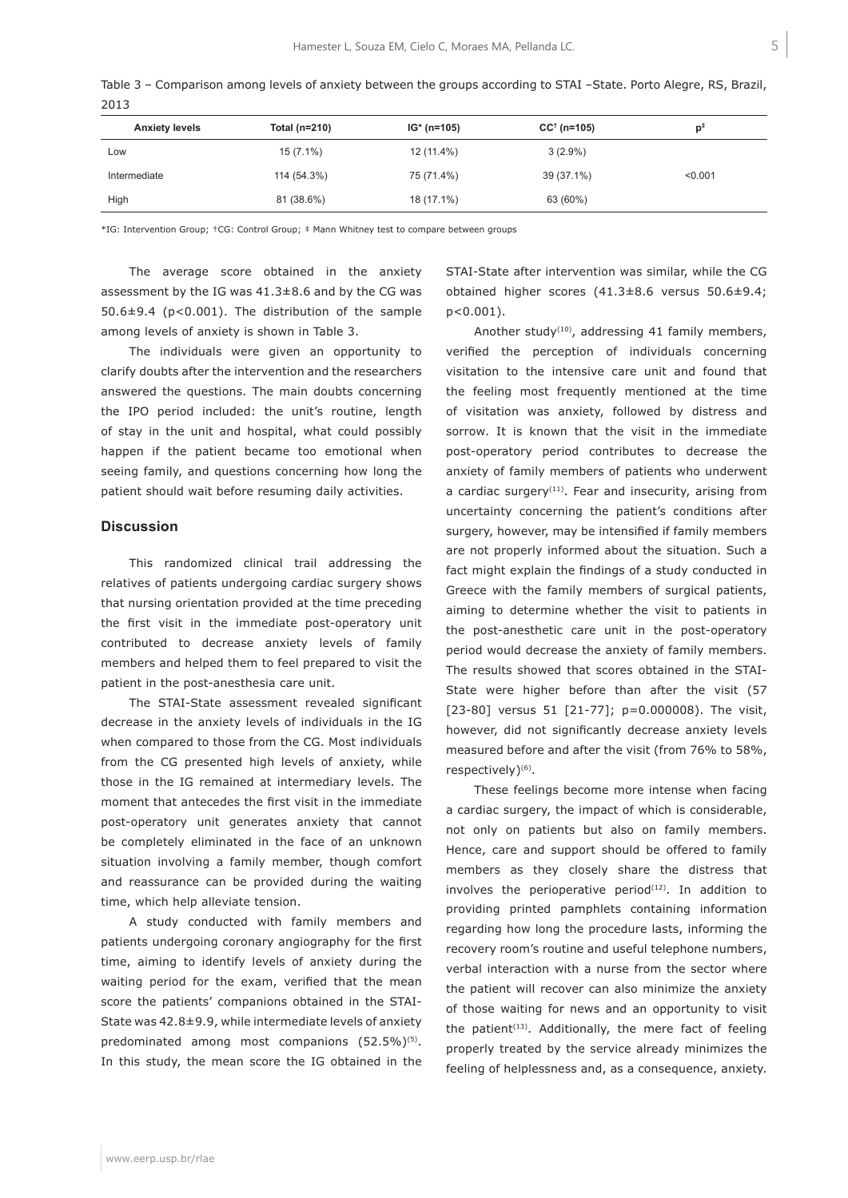|      | Table 3 – Comparison among levels of anxiety between the groups according to STAI –State. Porto Alegre, RS, Brazil, |  |  |  |  |  |
|------|---------------------------------------------------------------------------------------------------------------------|--|--|--|--|--|
| 2013 |                                                                                                                     |  |  |  |  |  |

| <b>Anxiety levels</b> | Total (n=210) | $IG* (n=105)$ | $CC^+(n=105)$ | p‡      |
|-----------------------|---------------|---------------|---------------|---------|
| Low                   | $15(7.1\%)$   | 12 (11.4%)    | $3(2.9\%)$    |         |
| Intermediate          | 114 (54.3%)   | 75 (71.4%)    | 39 (37.1%)    | < 0.001 |
| High                  | 81 (38.6%)    | 18 (17.1%)    | 63 (60%)      |         |

\*IG: Intervention Group; †CG: Control Group; ‡ Mann Whitney test to compare between groups

The average score obtained in the anxiety assessment by the IG was 41.3±8.6 and by the CG was 50.6±9.4 (p<0.001). The distribution of the sample among levels of anxiety is shown in Table 3.

The individuals were given an opportunity to clarify doubts after the intervention and the researchers answered the questions. The main doubts concerning the IPO period included: the unit's routine, length of stay in the unit and hospital, what could possibly happen if the patient became too emotional when seeing family, and questions concerning how long the patient should wait before resuming daily activities.

#### **Discussion**

This randomized clinical trail addressing the relatives of patients undergoing cardiac surgery shows that nursing orientation provided at the time preceding the first visit in the immediate post-operatory unit contributed to decrease anxiety levels of family members and helped them to feel prepared to visit the patient in the post-anesthesia care unit.

The STAI-State assessment revealed significant decrease in the anxiety levels of individuals in the IG when compared to those from the CG. Most individuals from the CG presented high levels of anxiety, while those in the IG remained at intermediary levels. The moment that antecedes the first visit in the immediate post-operatory unit generates anxiety that cannot be completely eliminated in the face of an unknown situation involving a family member, though comfort and reassurance can be provided during the waiting time, which help alleviate tension.

A study conducted with family members and patients undergoing coronary angiography for the first time, aiming to identify levels of anxiety during the waiting period for the exam, verified that the mean score the patients' companions obtained in the STAI-State was 42.8±9.9, while intermediate levels of anxiety predominated among most companions (52.5%)<sup>(5)</sup>. In this study, the mean score the IG obtained in the STAI-State after intervention was similar, while the CG obtained higher scores (41.3±8.6 versus 50.6±9.4; p<0.001).

Another study<sup>(10)</sup>, addressing 41 family members, verified the perception of individuals concerning visitation to the intensive care unit and found that the feeling most frequently mentioned at the time of visitation was anxiety, followed by distress and sorrow. It is known that the visit in the immediate post-operatory period contributes to decrease the anxiety of family members of patients who underwent a cardiac surgery<sup>(11)</sup>. Fear and insecurity, arising from uncertainty concerning the patient's conditions after surgery, however, may be intensified if family members are not properly informed about the situation. Such a fact might explain the findings of a study conducted in Greece with the family members of surgical patients, aiming to determine whether the visit to patients in the post-anesthetic care unit in the post-operatory period would decrease the anxiety of family members. The results showed that scores obtained in the STAI-State were higher before than after the visit (57 [23-80] versus 51 [21-77]; p=0.000008). The visit, however, did not significantly decrease anxiety levels measured before and after the visit (from 76% to 58%, respectively)<sup>(6)</sup>.

These feelings become more intense when facing a cardiac surgery, the impact of which is considerable, not only on patients but also on family members. Hence, care and support should be offered to family members as they closely share the distress that involves the perioperative period $(12)$ . In addition to providing printed pamphlets containing information regarding how long the procedure lasts, informing the recovery room's routine and useful telephone numbers, verbal interaction with a nurse from the sector where the patient will recover can also minimize the anxiety of those waiting for news and an opportunity to visit the patient<sup> $(13)$ </sup>. Additionally, the mere fact of feeling properly treated by the service already minimizes the feeling of helplessness and, as a consequence, anxiety.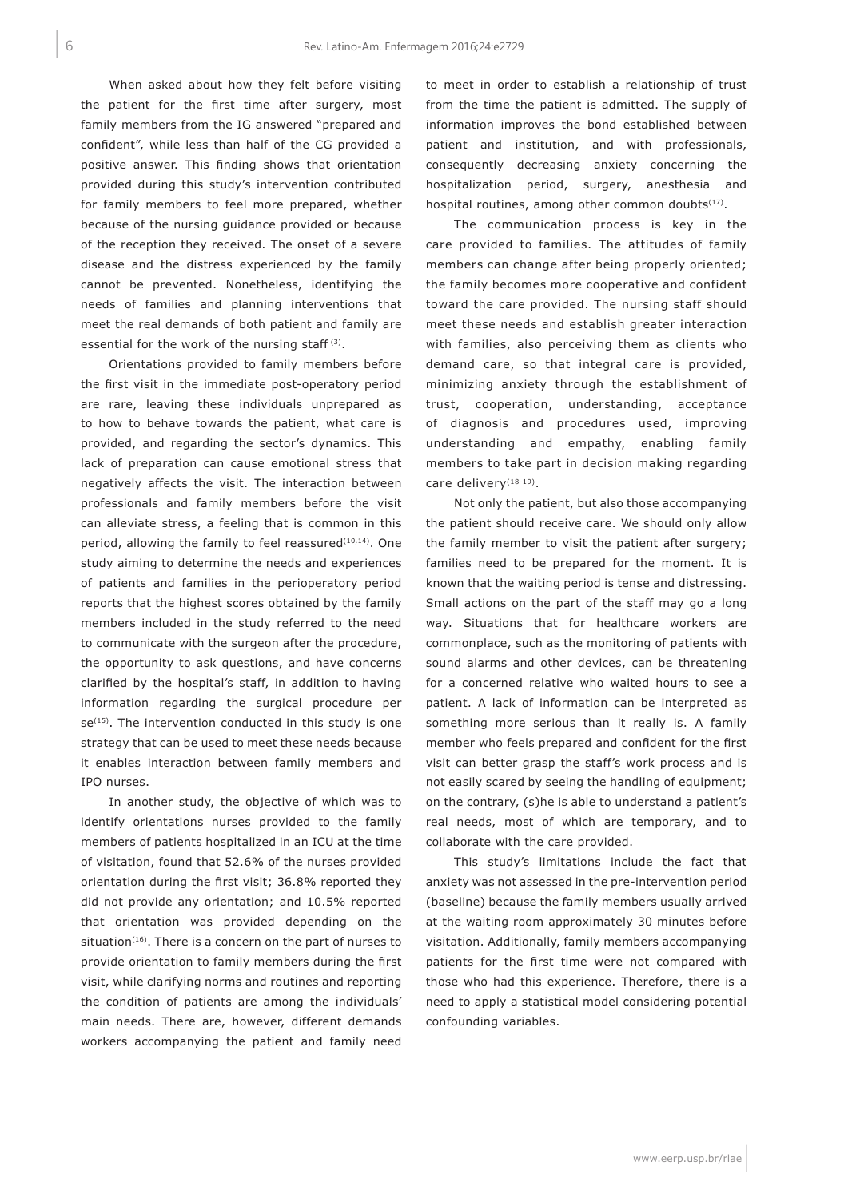When asked about how they felt before visiting the patient for the first time after surgery, most family members from the IG answered "prepared and confident", while less than half of the CG provided a positive answer. This finding shows that orientation provided during this study's intervention contributed for family members to feel more prepared, whether because of the nursing guidance provided or because of the reception they received. The onset of a severe disease and the distress experienced by the family cannot be prevented. Nonetheless, identifying the needs of families and planning interventions that meet the real demands of both patient and family are essential for the work of the nursing staff<sup>(3)</sup>.

Orientations provided to family members before the first visit in the immediate post-operatory period are rare, leaving these individuals unprepared as to how to behave towards the patient, what care is provided, and regarding the sector's dynamics. This lack of preparation can cause emotional stress that negatively affects the visit. The interaction between professionals and family members before the visit can alleviate stress, a feeling that is common in this period, allowing the family to feel reassured $(10,14)$ . One study aiming to determine the needs and experiences of patients and families in the perioperatory period reports that the highest scores obtained by the family members included in the study referred to the need to communicate with the surgeon after the procedure, the opportunity to ask questions, and have concerns clarified by the hospital's staff, in addition to having information regarding the surgical procedure per se<sup>(15)</sup>. The intervention conducted in this study is one strategy that can be used to meet these needs because it enables interaction between family members and IPO nurses.

In another study, the objective of which was to identify orientations nurses provided to the family members of patients hospitalized in an ICU at the time of visitation, found that 52.6% of the nurses provided orientation during the first visit; 36.8% reported they did not provide any orientation; and 10.5% reported that orientation was provided depending on the situation $(16)$ . There is a concern on the part of nurses to provide orientation to family members during the first visit, while clarifying norms and routines and reporting the condition of patients are among the individuals' main needs. There are, however, different demands workers accompanying the patient and family need

to meet in order to establish a relationship of trust from the time the patient is admitted. The supply of information improves the bond established between patient and institution, and with professionals, consequently decreasing anxiety concerning the hospitalization period, surgery, anesthesia and hospital routines, among other common doubts<sup>(17)</sup>.

The communication process is key in the care provided to families. The attitudes of family members can change after being properly oriented; the family becomes more cooperative and confident toward the care provided. The nursing staff should meet these needs and establish greater interaction with families, also perceiving them as clients who demand care, so that integral care is provided, minimizing anxiety through the establishment of trust, cooperation, understanding, acceptance of diagnosis and procedures used, improving understanding and empathy, enabling family members to take part in decision making regarding care delivery<sup>(18-19)</sup>.

Not only the patient, but also those accompanying the patient should receive care. We should only allow the family member to visit the patient after surgery; families need to be prepared for the moment. It is known that the waiting period is tense and distressing. Small actions on the part of the staff may go a long way. Situations that for healthcare workers are commonplace, such as the monitoring of patients with sound alarms and other devices, can be threatening for a concerned relative who waited hours to see a patient. A lack of information can be interpreted as something more serious than it really is. A family member who feels prepared and confident for the first visit can better grasp the staff's work process and is not easily scared by seeing the handling of equipment; on the contrary, (s)he is able to understand a patient's real needs, most of which are temporary, and to collaborate with the care provided.

This study's limitations include the fact that anxiety was not assessed in the pre-intervention period (baseline) because the family members usually arrived at the waiting room approximately 30 minutes before visitation. Additionally, family members accompanying patients for the first time were not compared with those who had this experience. Therefore, there is a need to apply a statistical model considering potential confounding variables.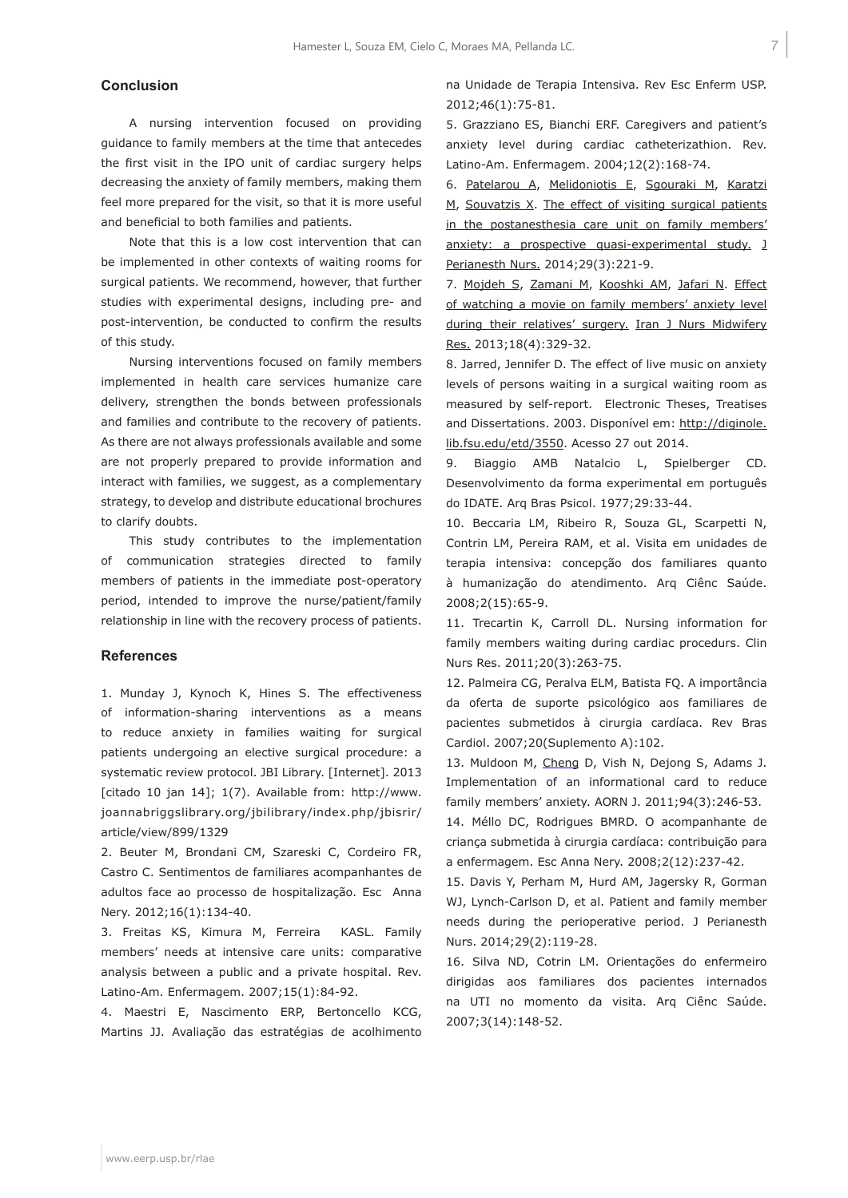# **Conclusion**

A nursing intervention focused on providing guidance to family members at the time that antecedes the first visit in the IPO unit of cardiac surgery helps decreasing the anxiety of family members, making them feel more prepared for the visit, so that it is more useful and beneficial to both families and patients.

Note that this is a low cost intervention that can be implemented in other contexts of waiting rooms for surgical patients. We recommend, however, that further studies with experimental designs, including pre- and post-intervention, be conducted to confirm the results of this study.

Nursing interventions focused on family members implemented in health care services humanize care delivery, strengthen the bonds between professionals and families and contribute to the recovery of patients. As there are not always professionals available and some are not properly prepared to provide information and interact with families, we suggest, as a complementary strategy, to develop and distribute educational brochures to clarify doubts.

This study contributes to the implementation of communication strategies directed to family members of patients in the immediate post-operatory period, intended to improve the nurse/patient/family relationship in line with the recovery process of patients.

### **References**

1. Munday J, Kynoch K, Hines S. The effectiveness of information-sharing interventions as a means to reduce anxiety in families waiting for surgical patients undergoing an elective surgical procedure: a systematic review protocol. JBI Library. [Internet]. 2013 [citado 10 jan 14]; 1(7). Available from: http://www. joannabriggslibrary.org/jbilibrary/index.php/jbisrir/ article/view/899/1329

2. Beuter M, Brondani CM, Szareski C, Cordeiro FR, Castro C. Sentimentos de familiares acompanhantes de adultos face ao processo de hospitalização. Esc Anna Nery. 2012;16(1):134-40.

3. Freitas KS, Kimura M, Ferreira KASL. Family members' needs at intensive care units: comparative analysis between a public and a private hospital. Rev. Latino-Am. Enfermagem. 2007;15(1):84-92.

4. Maestri E, Nascimento ERP, Bertoncello KCG, Martins JJ. Avaliação das estratégias de acolhimento na Unidade de Terapia Intensiva. Rev Esc Enferm USP. 2012;46(1):75-81.

5. Grazziano ES, Bianchi ERF. Caregivers and patient's anxiety level during cardiac catheterizathion. Rev. Latino-Am. Enfermagem. 2004;12(2):168-74.

6. Patelarou A, Melidoniotis E, Sgouraki M, Karatzi M, Souvatzis X. The effect of visiting surgical patients in the postanesthesia care unit on family members' anxiety: a prospective quasi-experimental study. J Perianesth Nurs. 2014;29(3):221-9.

7. Mojdeh S, Zamani M, Kooshki AM, Jafari N. Effect of watching a movie on family members' anxiety level during their relatives' surgery. Iran J Nurs Midwifery Res. 2013;18(4):329-32.

8. Jarred, Jennifer D. The effect of live music on anxiety levels of persons waiting in a surgical waiting room as measured by self-report. Electronic Theses, Treatises and Dissertations. 2003. Disponível em: http://diginole. lib.fsu.edu/etd/3550. Acesso 27 out 2014.

9. Biaggio AMB Natalcio L, Spielberger CD. Desenvolvimento da forma experimental em português do IDATE. Arq Bras Psicol. 1977;29:33-44.

10. Beccaria LM, Ribeiro R, Souza GL, Scarpetti N, Contrin LM, Pereira RAM, et al. Visita em unidades de terapia intensiva: concepção dos familiares quanto à humanização do atendimento. Arq Ciênc Saúde. 2008;2(15):65-9.

11. Trecartin K, Carroll DL. Nursing information for family members waiting during cardiac procedurs. Clin Nurs Res. 2011;20(3):263-75.

12. Palmeira CG, Peralva ELM, Batista FQ. A importância da oferta de suporte psicológico aos familiares de pacientes submetidos à cirurgia cardíaca. Rev Bras Cardiol. 2007;20(Suplemento A):102.

13. Muldoon M, Cheng D, Vish N, Dejong S, Adams J. Implementation of an informational card to reduce family members' anxiety. AORN J. 2011;94(3):246-53.

14. Méllo DC, Rodrigues BMRD. O acompanhante de criança submetida à cirurgia cardíaca: contribuição para a enfermagem. Esc Anna Nery. 2008;2(12):237-42.

15. Davis Y, Perham M, Hurd AM, Jagersky R, Gorman WJ, Lynch-Carlson D, et al. Patient and family member needs during the perioperative period. J Perianesth Nurs. 2014;29(2):119-28.

16. Silva ND, Cotrin LM. Orientações do enfermeiro dirigidas aos familiares dos pacientes internados na UTI no momento da visita. Arq Ciênc Saúde. 2007;3(14):148-52.